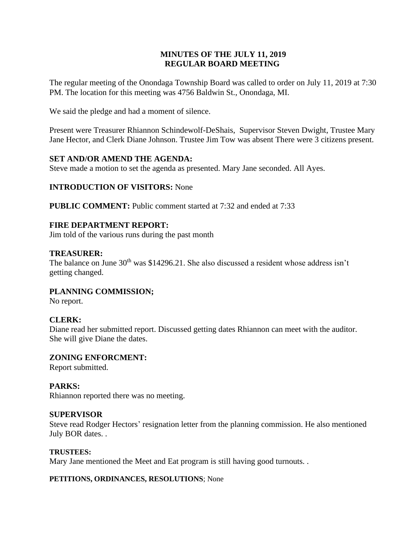# **MINUTES OF THE JULY 11, 2019 REGULAR BOARD MEETING**

The regular meeting of the Onondaga Township Board was called to order on July 11, 2019 at 7:30 PM. The location for this meeting was 4756 Baldwin St., Onondaga, MI.

We said the pledge and had a moment of silence.

Present were Treasurer Rhiannon Schindewolf-DeShais, Supervisor Steven Dwight, Trustee Mary Jane Hector, and Clerk Diane Johnson. Trustee Jim Tow was absent There were 3 citizens present.

# **SET AND/OR AMEND THE AGENDA:**

Steve made a motion to set the agenda as presented. Mary Jane seconded. All Ayes.

# **INTRODUCTION OF VISITORS:** None

**PUBLIC COMMENT:** Public comment started at 7:32 and ended at 7:33

# **FIRE DEPARTMENT REPORT:**

Jim told of the various runs during the past month

## **TREASURER:**

The balance on June  $30<sup>th</sup>$  was \$14296.21. She also discussed a resident whose address isn't getting changed.

**PLANNING COMMISSION;**

No report.

# **CLERK:**

Diane read her submitted report. Discussed getting dates Rhiannon can meet with the auditor. She will give Diane the dates.

**ZONING ENFORCMENT:**  Report submitted.

# **PARKS:**

Rhiannon reported there was no meeting.

## **SUPERVISOR**

Steve read Rodger Hectors' resignation letter from the planning commission. He also mentioned July BOR dates. .

## **TRUSTEES:**

Mary Jane mentioned the Meet and Eat program is still having good turnouts. .

## **PETITIONS, ORDINANCES, RESOLUTIONS**; None